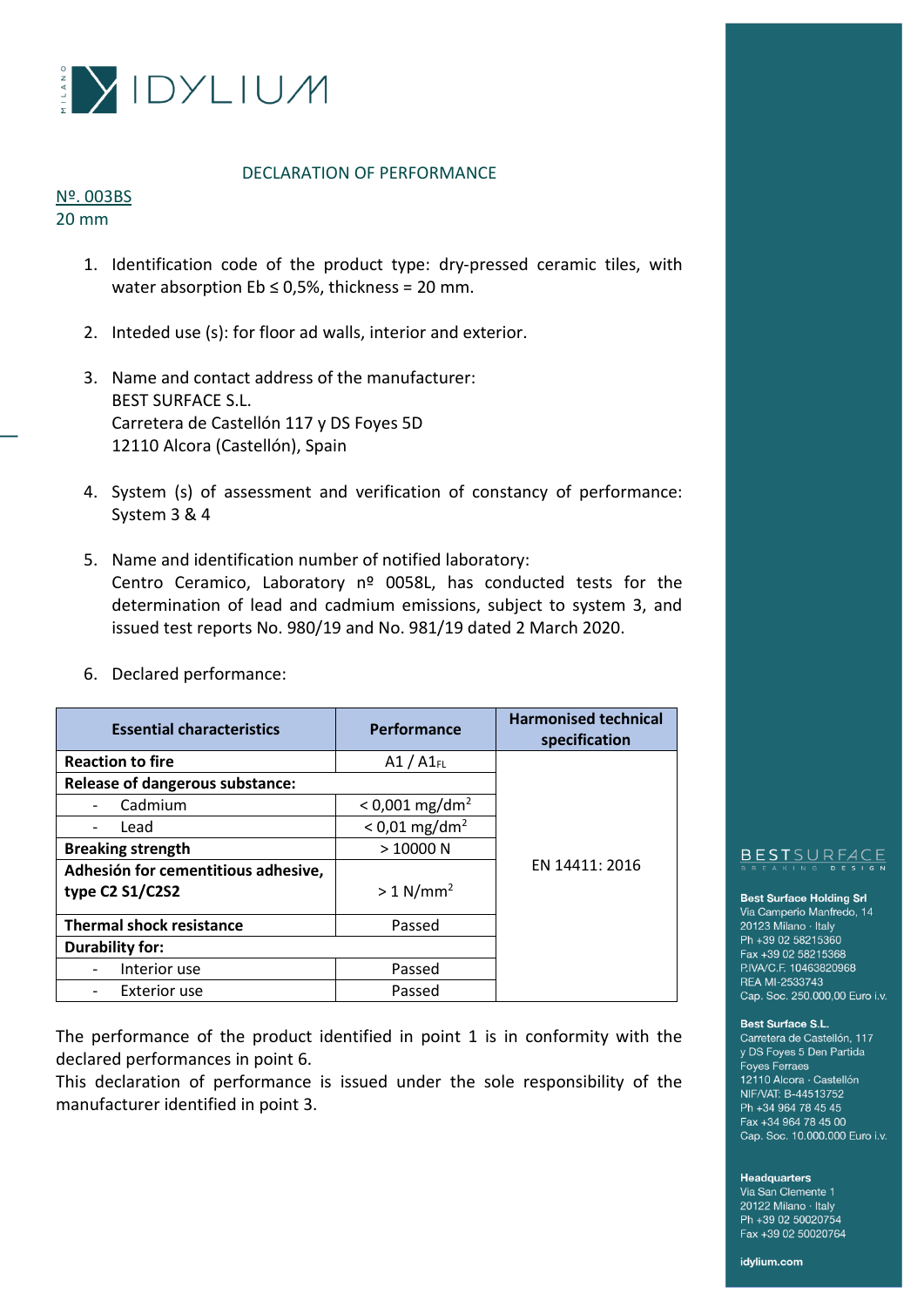

# DECLARATION OF PERFORMANCE

## Nº. 003BS 20 mm

- 1. Identification code of the product type: dry-pressed ceramic tiles, with water absorption  $Eb \leq 0.5\%$ , thickness = 20 mm.
- 2. Inteded use (s): for floor ad walls, interior and exterior.
- 3. Name and contact address of the manufacturer: BEST SURFACE S.L. Carretera de Castellón 117 y DS Foyes 5D 12110 Alcora (Castellón), Spain
- 4. System (s) of assessment and verification of constancy of performance: System 3 & 4
- 5. Name and identification number of notified laboratory: Centro Ceramico, Laboratory nº 0058L, has conducted tests for the determination of lead and cadmium emissions, subject to system 3, and issued test reports No. 980/19 and No. 981/19 dated 2 March 2020.

| <b>Essential characteristics</b>       | Performance                  | <b>Harmonised technical</b><br>specification |
|----------------------------------------|------------------------------|----------------------------------------------|
| <b>Reaction to fire</b>                | $A1 / A1$ <sub>FL</sub>      |                                              |
| <b>Release of dangerous substance:</b> |                              |                                              |
| Cadmium                                | $< 0.001$ mg/dm <sup>2</sup> |                                              |
| Lead                                   | $< 0.01$ mg/dm <sup>2</sup>  |                                              |
| <b>Breaking strength</b>               | >10000N                      |                                              |
| Adhesión for cementitious adhesive,    |                              | EN 14411: 2016                               |
| type C2 S1/C2S2                        | $> 1$ N/mm <sup>2</sup>      |                                              |
| <b>Thermal shock resistance</b>        | Passed                       |                                              |
| <b>Durability for:</b>                 |                              |                                              |
| Interior use                           | Passed                       |                                              |
| <b>Exterior use</b>                    | Passed                       |                                              |

6. Declared performance:

The performance of the product identified in point 1 is in conformity with the declared performances in point 6.

This declaration of performance is issued under the sole responsibility of the manufacturer identified in point 3.

# BESTSURFACE

## **Best Surface Holding Srl**

Via Camperio Manfredo, 14 20123 Milano · Italy Ph +39 02 58215360 Fax +39 02 58215368 P.IVA/C.F. 10463820968 REA MI-2533743 Cap. Soc. 250.000,00 Euro i.v.

## Best Surface S.L.

Carretera de Castellón, 117 y DS Foyes 5 Den Partida **Foyes Ferraes** 12110 Alcora · Castellón NIF/VAT: B-44513752 Ph +34 964 78 45 45 Fax +34 964 78 45 00 Cap. Soc. 10.000.000 Euro i.v.

## **Headquarters**

Via San Clemente 1 20122 Milano · Italy Ph +39 02 50020754 Fax +39 02 50020764

idylium.com